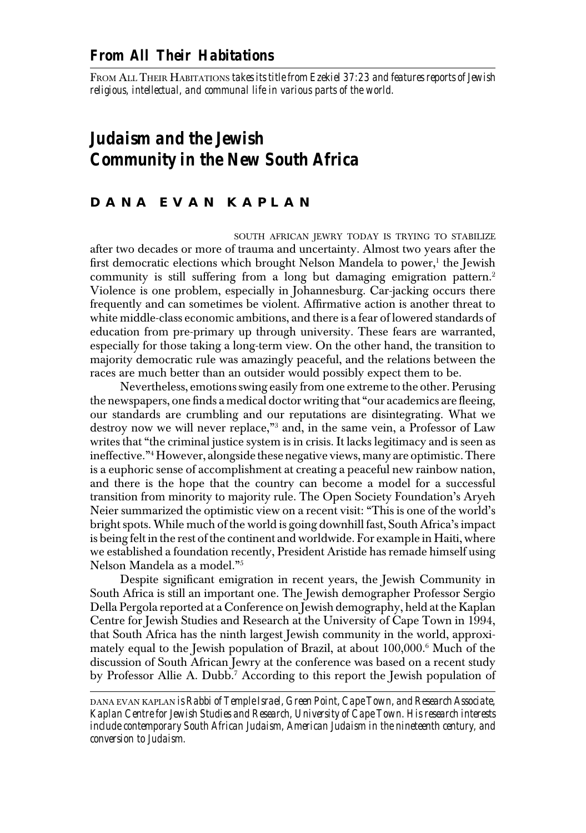FROM ALL THEIR HABITATIONS *takes its title from Ezekiel 37:23 and features reports of Jewish religious, intellectual, and communal life in various parts of the world.*

 *Judaism and the Jewish Community in the New South Africa*

## **D A N A E V A N K A P L A N**

 SOUTH AFRICAN JEWRY TODAY IS TRYING TO STABILIZE after two decades or more of trauma and uncertainty. Almost two years after the first democratic elections which brought Nelson Mandela to power, $<sup>1</sup>$  the Jewish</sup> community is still suffering from a long but damaging emigration pattern.<sup>2</sup> Violence is one problem, especially in Johannesburg. Car-jacking occurs there frequently and can sometimes be violent. Affirmative action is another threat to white middle-class economic ambitions, and there is a fear of lowered standards of education from pre-primary up through university. These fears are warranted, especially for those taking a long-term view. On the other hand, the transition to majority democratic rule was amazingly peaceful, and the relations between the races are much better than an outsider would possibly expect them to be.

 Nevertheless, emotions swing easily from one extreme to the other. Perusing the newspapers, one finds a medical doctor writing that "our academics are fleeing, our standards are crumbling and our reputations are disintegrating. What we destroy now we will never replace,"3 and, in the same vein, a Professor of Law writes that "the criminal justice system is in crisis. It lacks legitimacy and is seen as ineffective."4 However, alongside these negative views, many are optimistic. There is a euphoric sense of accomplishment at creating a peaceful new rainbow nation, and there is the hope that the country can become a model for a successful transition from minority to majority rule. The Open Society Foundation's Aryeh Neier summarized the optimistic view on a recent visit: "This is one of the world's bright spots. While much of the world is going downhill fast, South Africa's impact is being felt in the rest of the continent and worldwide. For example in Haiti, where we established a foundation recently, President Aristide has remade himself using Nelson Mandela as a model."5

 Despite significant emigration in recent years, the Jewish Community in South Africa is still an important one. The Jewish demographer Professor Sergio Della Pergola reported at a Conference on Jewish demography, held at the Kaplan Centre for Jewish Studies and Research at the University of Cape Town in 1994, that South Africa has the ninth largest Jewish community in the world, approxi mately equal to the Jewish population of Brazil, at about 100,000.6 Much of the discussion of South African Jewry at the conference was based on a recent study by Professor Allie A. Dubb.<sup>7</sup> According to this report the Jewish population of

 DANA EVAN KAPLAN *is Rabbi of Temple Israel, Green Point, Cape Town, and Research Associate, Kaplan Centre for Jewish Studies and Research, University of Cape Town. His research interests include contemporary South African Judaism, American Judaism in the nineteenth century, and conversion to Judaism.*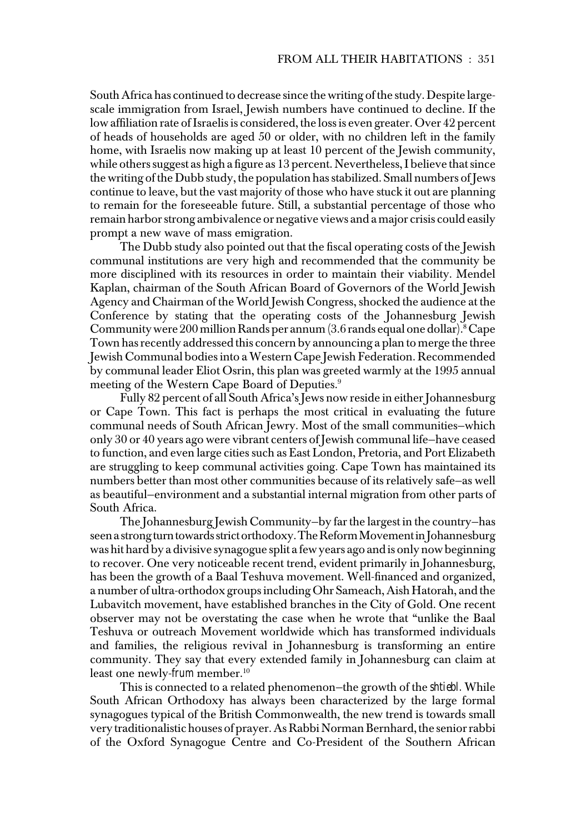South Africa has continued to decrease since the writing of the study. Despite large scale immigration from Israel, Jewish numbers have continued to decline. If the low affiliation rate of Israelis is considered, the loss is even greater. Over 42 percent of heads of households are aged 50 or older, with no children left in the family home, with Israelis now making up at least 10 percent of the Jewish community, while others suggest as high a figure as 13 percent. Nevertheless, I believe that since the writing of the Dubb study, the population has stabilized. Small numbers of Jews continue to leave, but the vast majority of those who have stuck it out are planning to remain for the foreseeable future. Still, a substantial percentage of those who remain harbor strong ambivalence or negative views and a major crisis could easily prompt a new wave of mass emigration.

 The Dubb study also pointed out that the fiscal operating costs of the Jewish communal institutions are very high and recommended that the community be more disciplined with its resources in order to maintain their viability. Mendel Kaplan, chairman of the South African Board of Governors of the World Jewish Agency and Chairman of the World Jewish Congress, shocked the audience at the Conference by stating that the operating costs of the Johannesburg Jewish Community were 200 million Rands per annum (3.6 rands equal one dollar).8 Cape Town has recently addressed this concern by announcing a plan to merge the three Jewish Communal bodies into a Western Cape Jewish Federation. Recommended by communal leader Eliot Osrin, this plan was greeted warmly at the 1995 annual meeting of the Western Cape Board of Deputies.<sup>9</sup>

 Fully 82 percent of all South Africa's Jews now reside in either Johannesburg or Cape Town. This fact is perhaps the most critical in evaluating the future communal needs of South African Jewry. Most of the small communities—which only 30 or 40 years ago were vibrant centers of Jewish communal life—have ceased to function, and even large cities such as East London, Pretoria, and Port Elizabeth are struggling to keep communal activities going. Cape Town has maintained its numbers better than most other communities because of its relatively safe—as well as beautiful—environment and a substantial internal migration from other parts of South Africa.

 The Johannesburg Jewish Community—by far the largest in the country—has seen a strong turn towards strict orthodoxy. The Reform Movement in Johannesburg was hit hard by a divisive synagogue split a few years ago and is only now beginning to recover. One very noticeable recent trend, evident primarily in Johannesburg, has been the growth of a Baal Teshuva movement. Well-financed and organized, a number of ultra-orthodox groups including Ohr Sameach, Aish Hatorah, and the Lubavitch movement, have established branches in the City of Gold. One recent observer may not be overstating the case when he wrote that "unlike the Baal Teshuva or outreach Movement worldwide which has transformed individuals and families, the religious revival in Johannesburg is transforming an entire community. They say that every extended family in Johannesburg can claim at least one newly-*frum* member.<sup>10</sup>

 This is connected to a related phenomenon—the growth of the *shtiebl.* While South African Orthodoxy has always been characterized by the large formal synagogues typical of the British Commonwealth, the new trend is towards small very traditionalistic houses of prayer. As Rabbi Norman Bernhard, the senior rabbi of the Oxford Synagogue Centre and Co-President of the Southern African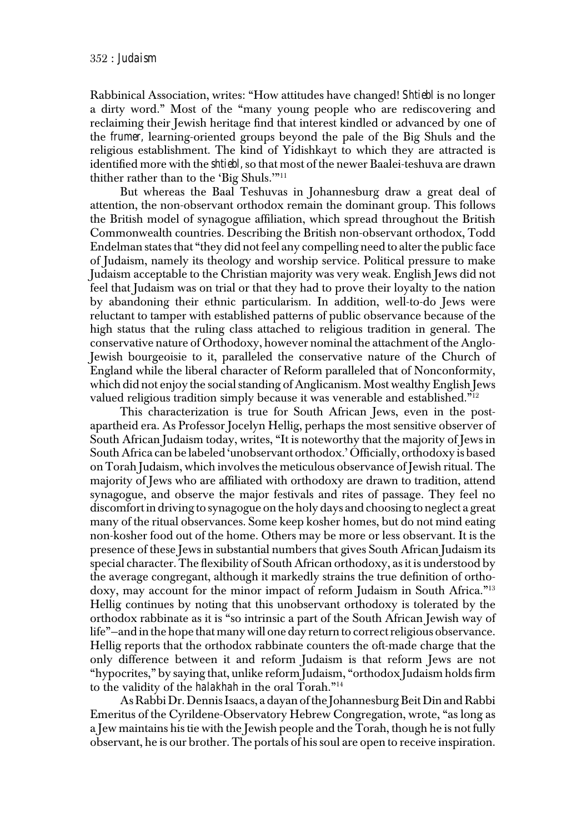Rabbinical Association, writes: "How attitudes have changed! *Shtiebl* is no longer a dirty word." Most of the "many young people who are rediscovering and reclaiming their Jewish heritage find that interest kindled or advanced by one of the *frumer,* learning-oriented groups beyond the pale of the Big Shuls and the religious establishment. The kind of Yidishkayt to which they are attracted is identified more with the *shtiebl,* so that most of the newer Baalei-teshuva are drawn thither rather than to the 'Big Shuls.'"11

 But whereas the Baal Teshuvas in Johannesburg draw a great deal of attention, the non-observant orthodox remain the dominant group. This follows the British model of synagogue affiliation, which spread throughout the British Commonwealth countries. Describing the British non-observant orthodox, Todd Endelman states that "they did not feel any compelling need to alter the public face of Judaism, namely its theology and worship service. Political pressure to make Judaism acceptable to the Christian majority was very weak. English Jews did not feel that Judaism was on trial or that they had to prove their loyalty to the nation by abandoning their ethnic particularism. In addition, well-to-do Jews were reluctant to tamper with established patterns of public observance because of the high status that the ruling class attached to religious tradition in general. The conservative nature of Orthodoxy, however nominal the attachment of the Anglo- Jewish bourgeoisie to it, paralleled the conservative nature of the Church of England while the liberal character of Reform paralleled that of Nonconformity, which did not enjoy the social standing of Anglicanism. Most wealthy English Jews valued religious tradition simply because it was venerable and established."12

 This characterization is true for South African Jews, even in the post apartheid era. As Professor Jocelyn Hellig, perhaps the most sensitive observer of South African Judaism today, writes, "It is noteworthy that the majority of Jews in South Africa can be labeled 'unobservant orthodox.' Officially, orthodoxy is based on Torah Judaism, which involves the meticulous observance of Jewish ritual. The majority of Jews who are affiliated with orthodoxy are drawn to tradition, attend synagogue, and observe the major festivals and rites of passage. They feel no discomfort in driving to synagogue on the holy days and choosing to neglect a great many of the ritual observances. Some keep kosher homes, but do not mind eating non-kosher food out of the home. Others may be more or less observant. It is the presence of these Jews in substantial numbers that gives South African Judaism its special character. The flexibility of South African orthodoxy, as it is understood by the average congregant, although it markedly strains the true definition of ortho doxy, may account for the minor impact of reform Judaism in South Africa."13 Hellig continues by noting that this unobservant orthodoxy is tolerated by the orthodox rabbinate as it is "so intrinsic a part of the South African Jewish way of life"—and in the hope that many will one day return to correct religious observance. Hellig reports that the orthodox rabbinate counters the oft-made charge that the only difference between it and reform Judaism is that reform Jews are not "hypocrites," by saying that, unlike reform Judaism, "orthodox Judaism holds firm to the validity of the *halakhah* in the oral Torah."14

 As Rabbi Dr. Dennis Isaacs, a dayan of the Johannesburg Beit Din and Rabbi Emeritus of the Cyrildene-Observatory Hebrew Congregation, wrote, "as long as a Jew maintains his tie with the Jewish people and the Torah, though he is not fully observant, he is our brother. The portals of his soul are open to receive inspiration.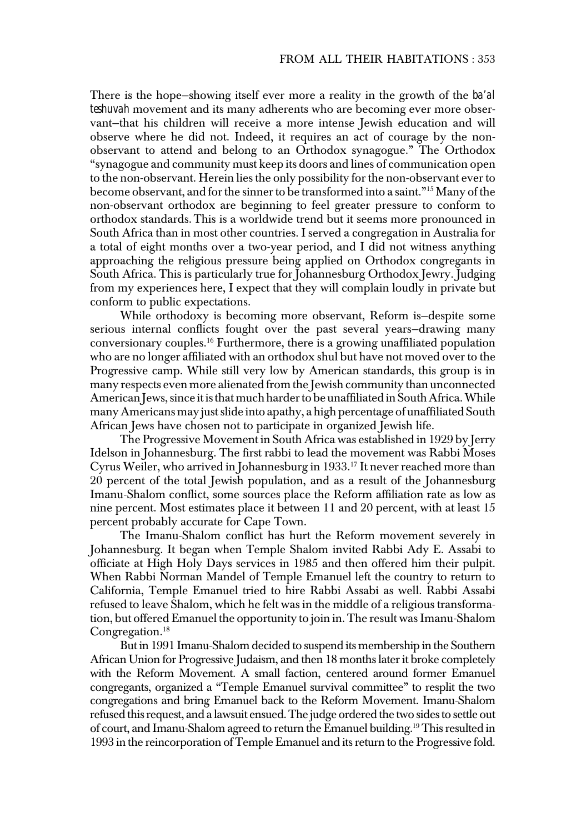There is the hope—showing itself ever more a reality in the growth of the *ba'al teshuvah* movement and its many adherents who are becoming ever more obser vant—that his children will receive a more intense Jewish education and will observe where he did not. Indeed, it requires an act of courage by the non observant to attend and belong to an Orthodox synagogue." The Orthodox "synagogue and community must keep its doors and lines of communication open to the non-observant. Herein lies the only possibility for the non-observant ever to become observant, and for the sinner to be transformed into a saint."15 Many of the non-observant orthodox are beginning to feel greater pressure to conform to orthodox standards.This is a worldwide trend but it seems more pronounced in South Africa than in most other countries. I served a congregation in Australia for a total of eight months over a two-year period, and I did not witness anything approaching the religious pressure being applied on Orthodox congregants in South Africa. This is particularly true for Johannesburg Orthodox Jewry. Judging from my experiences here, I expect that they will complain loudly in private but conform to public expectations.

 While orthodoxy is becoming more observant, Reform is—despite some serious internal conflicts fought over the past several years—drawing many conversionary couples.16 Furthermore, there is a growing unaffiliated population who are no longer affiliated with an orthodox shul but have not moved over to the Progressive camp. While still very low by American standards, this group is in many respects even more alienated from the Jewish community than unconnected American Jews, since it is that much harder to be unaffiliated in South Africa. While many Americans may just slide into apathy, a high percentage of unaffiliated South African Jews have chosen not to participate in organized Jewish life.

 The Progressive Movement in South Africa was established in 1929 by Jerry Idelson in Johannesburg. The first rabbi to lead the movement was Rabbi Moses Cyrus Weiler, who arrived in Johannesburg in 1933.<sup>17</sup> It never reached more than 20 percent of the total Jewish population, and as a result of the Johannesburg Imanu-Shalom conflict, some sources place the Reform affiliation rate as low as nine percent. Most estimates place it between 11 and 20 percent, with at least 15 percent probably accurate for Cape Town.

 The Imanu-Shalom conflict has hurt the Reform movement severely in Johannesburg. It began when Temple Shalom invited Rabbi Ady E. Assabi to officiate at High Holy Days services in 1985 and then offered him their pulpit. When Rabbi Norman Mandel of Temple Emanuel left the country to return to California, Temple Emanuel tried to hire Rabbi Assabi as well. Rabbi Assabi refused to leave Shalom, which he felt was in the middle of a religious transforma tion, but offered Emanuel the opportunity to join in. The result was Imanu-Shalom Congregation.<sup>18</sup>

 But in 1991 Imanu-Shalom decided to suspend its membership in the Southern African Union for Progressive Judaism, and then 18 months later it broke completely with the Reform Movement. A small faction, centered around former Emanuel congregants, organized a "Temple Emanuel survival committee" to resplit the two congregations and bring Emanuel back to the Reform Movement. Imanu-Shalom refused this request, and a lawsuit ensued. The judge ordered the two sides to settle out of court, and Imanu-Shalom agreed to return the Emanuel building.19 This resulted in 1993 in the reincorporation of Temple Emanuel and its return to the Progressive fold.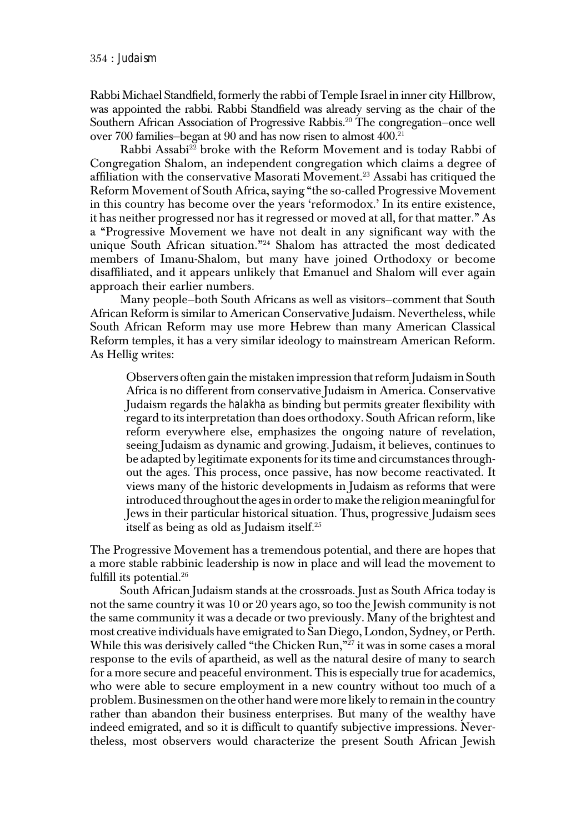Rabbi Michael Standfield, formerly the rabbi of Temple Israel in inner city Hillbrow, was appointed the rabbi. Rabbi Standfield was already serving as the chair of the Southern African Association of Progressive Rabbis.<sup>20</sup> The congregation-once well over 700 families—began at 90 and has now risen to almost 400.21

Rabbi Assabi<sup>22</sup> broke with the Reform Movement and is today Rabbi of Congregation Shalom, an independent congregation which claims a degree of affiliation with the conservative Masorati Movement.<sup>23</sup> Assabi has critiqued the Reform Movement of South Africa, saying "the so-called Progressive Movement in this country has become over the years 'reformodox.' In its entire existence, it has neither progressed nor has it regressed or moved at all, for that matter." As a "Progressive Movement we have not dealt in any significant way with the unique South African situation."24 Shalom has attracted the most dedicated members of Imanu-Shalom, but many have joined Orthodoxy or become disaffiliated, and it appears unlikely that Emanuel and Shalom will ever again approach their earlier numbers.

 Many people—both South Africans as well as visitors—comment that South African Reform is similar to American Conservative Judaism. Nevertheless, while South African Reform may use more Hebrew than many American Classical Reform temples, it has a very similar ideology to mainstream American Reform. As Hellig writes:

 Observers often gain the mistaken impression that reform Judaism in South Africa is no different from conservative Judaism in America. Conservative Judaism regards the *halakha* as binding but permits greater flexibility with regard to its interpretation than does orthodoxy. South African reform, like reform everywhere else, emphasizes the ongoing nature of revelation, seeing Judaism as dynamic and growing. Judaism, it believes, continues to be adapted by legitimate exponents for its time and circumstances through out the ages. This process, once passive, has now become reactivated. It views many of the historic developments in Judaism as reforms that were introduced throughout the ages in order to make the religion meaningful for Jews in their particular historical situation. Thus, progressive Judaism sees itself as being as old as Judaism itself.25

 The Progressive Movement has a tremendous potential, and there are hopes that a more stable rabbinic leadership is now in place and will lead the movement to fulfill its potential. $26$ 

 South African Judaism stands at the crossroads. Just as South Africa today is not the same country it was 10 or 20 years ago, so too the Jewish community is not the same community it was a decade or two previously. Many of the brightest and most creative individuals have emigrated to San Diego, London, Sydney, or Perth. While this was derisively called "the Chicken Run,"<sup>27</sup> it was in some cases a moral response to the evils of apartheid, as well as the natural desire of many to search for a more secure and peaceful environment. This is especially true for academics, who were able to secure employment in a new country without too much of a problem. Businessmen on the other hand were more likely to remain in the country rather than abandon their business enterprises. But many of the wealthy have indeed emigrated, and so it is difficult to quantify subjective impressions. Never theless, most observers would characterize the present South African Jewish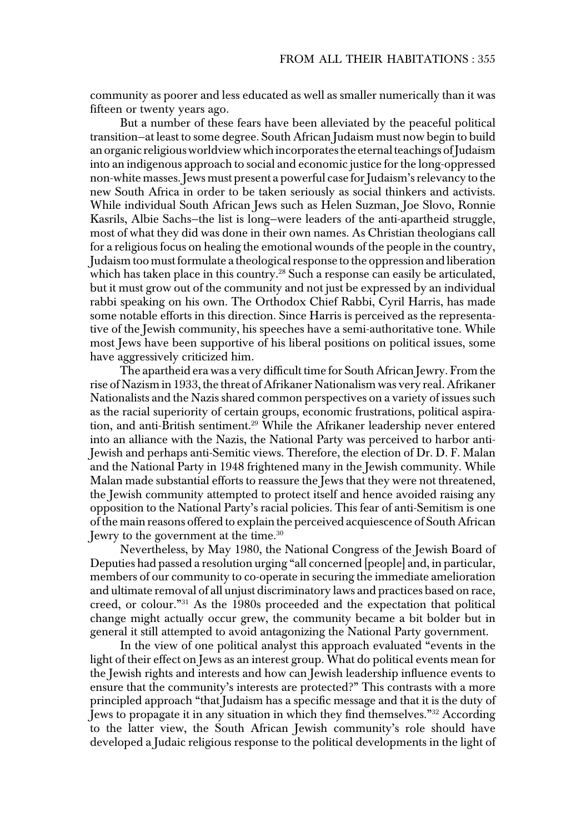community as poorer and less educated as well as smaller numerically than it was fifteen or twenty years ago.

 But a number of these fears have been alleviated by the peaceful political transition—at least to some degree. South African Judaism must now begin to build an organic religious worldview which incorporates the eternal teachings of Judaism into an indigenous approach to social and economic justice for the long-oppressed non-white masses. Jews must present a powerful case for Judaism's relevancy to the new South Africa in order to be taken seriously as social thinkers and activists. While individual South African Jews such as Helen Suzman, Joe Slovo, Ronnie Kasrils, Albie Sachs—the list is long—were leaders of the anti-apartheid struggle, most of what they did was done in their own names. As Christian theologians call for a religious focus on healing the emotional wounds of the people in the country, Judaism too must formulate a theological response to the oppression and liberation which has taken place in this country.<sup>28</sup> Such a response can easily be articulated, but it must grow out of the community and not just be expressed by an individual rabbi speaking on his own. The Orthodox Chief Rabbi, Cyril Harris, has made some notable efforts in this direction. Since Harris is perceived as the representa tive of the Jewish community, his speeches have a semi-authoritative tone. While most Jews have been supportive of his liberal positions on political issues, some have aggressively criticized him.

 The apartheid era was a very difficult time for South African Jewry. From the rise of Nazism in 1933, the threat of Afrikaner Nationalism was very real. Afrikaner Nationalists and the Nazis shared common perspectives on a variety of issues such as the racial superiority of certain groups, economic frustrations, political aspira tion, and anti-British sentiment.<sup>29</sup> While the Afrikaner leadership never entered into an alliance with the Nazis, the National Party was perceived to harbor anti- Jewish and perhaps anti-Semitic views. Therefore, the election of Dr. D. F. Malan and the National Party in 1948 frightened many in the Jewish community. While Malan made substantial efforts to reassure the Jews that they were not threatened, the Jewish community attempted to protect itself and hence avoided raising any opposition to the National Party's racial policies. This fear of anti-Semitism is one of the main reasons offered to explain the perceived acquiescence of South African Jewry to the government at the time.30

 Nevertheless, by May 1980, the National Congress of the Jewish Board of Deputies had passed a resolution urging "all concerned [people] and, in particular, members of our community to co-operate in securing the immediate amelioration and ultimate removal of all unjust discriminatory laws and practices based on race, creed, or colour."31 As the 1980s proceeded and the expectation that political change might actually occur grew, the community became a bit bolder but in general it still attempted to avoid antagonizing the National Party government.

 In the view of one political analyst this approach evaluated "events in the light of their effect on Jews as an interest group. What do political events mean for the Jewish rights and interests and how can Jewish leadership influence events to ensure that the community's interests are protected?" This contrasts with a more principled approach "that Judaism has a specific message and that it is the duty of Jews to propagate it in any situation in which they find themselves."32 According to the latter view, the South African Jewish community's role should have developed a Judaic religious response to the political developments in the light of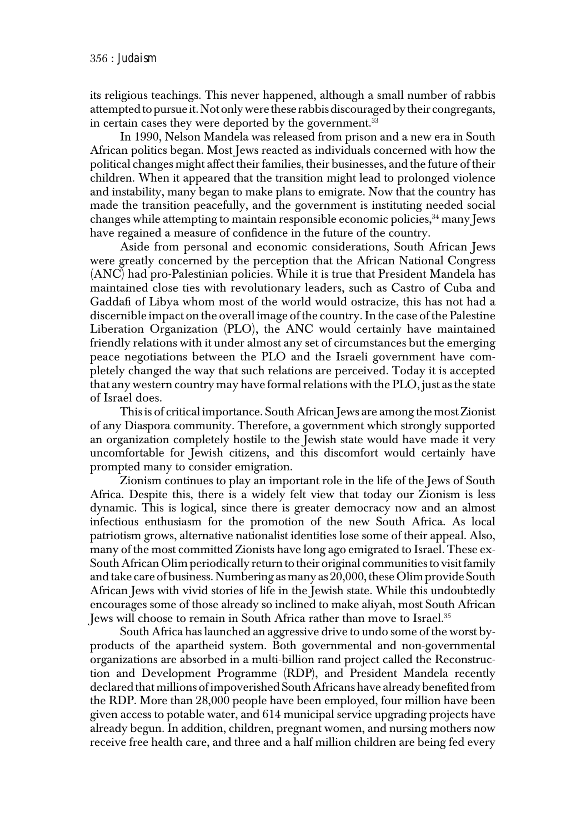its religious teachings. This never happened, although a small number of rabbis attempted to pursue it. Not only were these rabbis discouraged by their congregants, in certain cases they were deported by the government.<sup>33</sup>

 In 1990, Nelson Mandela was released from prison and a new era in South African politics began. Most Jews reacted as individuals concerned with how the political changes might affect their families, their businesses, and the future of their children. When it appeared that the transition might lead to prolonged violence and instability, many began to make plans to emigrate. Now that the country has made the transition peacefully, and the government is instituting needed social changes while attempting to maintain responsible economic policies,  $34$  many Jews have regained a measure of confidence in the future of the country.

 Aside from personal and economic considerations, South African Jews were greatly concerned by the perception that the African National Congress (ANC) had pro-Palestinian policies. While it is true that President Mandela has maintained close ties with revolutionary leaders, such as Castro of Cuba and Gaddafi of Libya whom most of the world would ostracize, this has not had a discernible impact on the overall image of the country. In the case of the Palestine Liberation Organization (PLO), the ANC would certainly have maintained friendly relations with it under almost any set of circumstances but the emerging peace negotiations between the PLO and the Israeli government have com pletely changed the way that such relations are perceived. Today it is accepted that any western country may have formal relations with the PLO, just as the state of Israel does.

 This is of critical importance. South African Jews are among the most Zionist of any Diaspora community. Therefore, a government which strongly supported an organization completely hostile to the Jewish state would have made it very uncomfortable for Jewish citizens, and this discomfort would certainly have prompted many to consider emigration.

 Zionism continues to play an important role in the life of the Jews of South Africa. Despite this, there is a widely felt view that today our Zionism is less dynamic. This is logical, since there is greater democracy now and an almost infectious enthusiasm for the promotion of the new South Africa. As local patriotism grows, alternative nationalist identities lose some of their appeal. Also, many of the most committed Zionists have long ago emigrated to Israel. These ex- South African Olim periodically return to their original communities to visit family and take care of business. Numbering as many as 20,000, these Olim provide South African Jews with vivid stories of life in the Jewish state. While this undoubtedly encourages some of those already so inclined to make aliyah, most South African Jews will choose to remain in South Africa rather than move to Israel.35

 South Africa has launched an aggressive drive to undo some of the worst by products of the apartheid system. Both governmental and non-governmental organizations are absorbed in a multi-billion rand project called the Reconstruc tion and Development Programme (RDP), and President Mandela recently declared that millions of impoverished South Africans have already benefited from the RDP. More than 28,000 people have been employed, four million have been given access to potable water, and 614 municipal service upgrading projects have already begun. In addition, children, pregnant women, and nursing mothers now receive free health care, and three and a half million children are being fed every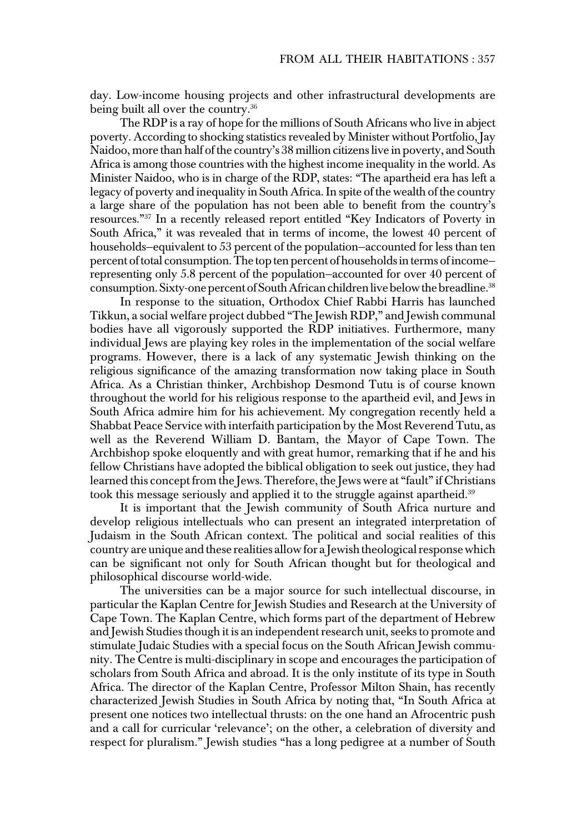day. Low-income housing projects and other infrastructural developments are being built all over the country.<sup>36</sup>

 The RDP is a ray of hope for the millions of South Africans who live in abject poverty. According to shocking statistics revealed by Minister without Portfolio, Jay Naidoo, more than half of the country's 38 million citizens live in poverty, and South Africa is among those countries with the highest income inequality in the world. As Minister Naidoo, who is in charge of the RDP, states: "The apartheid era has left a legacy of poverty and inequality in South Africa. In spite of the wealth of the country a large share of the population has not been able to benefit from the country's resources."37 In a recently released report entitled "Key Indicators of Poverty in South Africa," it was revealed that in terms of income, the lowest 40 percent of households—equivalent to 53 percent of the population—accounted for less than ten percent of total consumption. The top ten percent of households in terms of income representing only 5.8 percent of the population—accounted for over 40 percent of consumption. Sixty-one percent of South African children live below the breadline.<sup>38</sup>

 In response to the situation, Orthodox Chief Rabbi Harris has launched Tikkun, a social welfare project dubbed "The Jewish RDP," and Jewish communal bodies have all vigorously supported the RDP initiatives. Furthermore, many individual Jews are playing key roles in the implementation of the social welfare programs. However, there is a lack of any systematic Jewish thinking on the religious significance of the amazing transformation now taking place in South Africa. As a Christian thinker, Archbishop Desmond Tutu is of course known throughout the world for his religious response to the apartheid evil, and Jews in South Africa admire him for his achievement. My congregation recently held a Shabbat Peace Service with interfaith participation by the Most Reverend Tutu, as well as the Reverend William D. Bantam, the Mayor of Cape Town. The Archbishop spoke eloquently and with great humor, remarking that if he and his fellow Christians have adopted the biblical obligation to seek out justice, they had learned this concept from the Jews. Therefore, the Jews were at "fault" if Christians took this message seriously and applied it to the struggle against apartheid.<sup>39</sup>

 It is important that the Jewish community of South Africa nurture and develop religious intellectuals who can present an integrated interpretation of Judaism in the South African context. The political and social realities of this country are unique and these realities allow for a Jewish theological response which can be significant not only for South African thought but for theological and philosophical discourse world-wide.

 The universities can be a major source for such intellectual discourse, in particular the Kaplan Centre for Jewish Studies and Research at the University of Cape Town. The Kaplan Centre, which forms part of the department of Hebrew and Jewish Studies though it is an independent research unit, seeks to promote and stimulate Judaic Studies with a special focus on the South African Jewish commu nity. The Centre is multi-disciplinary in scope and encourages the participation of scholars from South Africa and abroad. It is the only institute of its type in South Africa. The director of the Kaplan Centre, Professor Milton Shain, has recently characterized Jewish Studies in South Africa by noting that, "In South Africa at present one notices two intellectual thrusts: on the one hand an Afrocentric push and a call for curricular 'relevance'; on the other, a celebration of diversity and respect for pluralism." Jewish studies "has a long pedigree at a number of South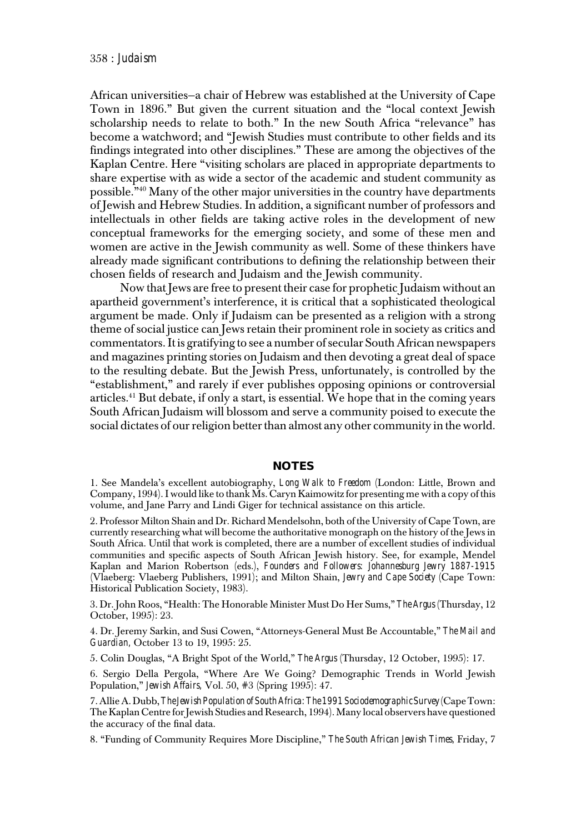African universities—a chair of Hebrew was established at the University of Cape Town in 1896." But given the current situation and the "local context Jewish scholarship needs to relate to both." In the new South Africa "relevance" has become a watchword; and "Jewish Studies must contribute to other fields and its findings integrated into other disciplines." These are among the objectives of the Kaplan Centre. Here "visiting scholars are placed in appropriate departments to share expertise with as wide a sector of the academic and student community as possible."40 Many of the other major universities in the country have departments of Jewish and Hebrew Studies. In addition, a significant number of professors and intellectuals in other fields are taking active roles in the development of new conceptual frameworks for the emerging society, and some of these men and women are active in the Jewish community as well. Some of these thinkers have already made significant contributions to defining the relationship between their chosen fields of research and Judaism and the Jewish community.

 Now that Jews are free to present their case for prophetic Judaism without an apartheid government's interference, it is critical that a sophisticated theological argument be made. Only if Judaism can be presented as a religion with a strong theme of social justice can Jews retain their prominent role in society as critics and commentators. It is gratifying to see a number of secular South African newspapers and magazines printing stories on Judaism and then devoting a great deal of space to the resulting debate. But the Jewish Press, unfortunately, is controlled by the "establishment," and rarely if ever publishes opposing opinions or controversial articles.41 But debate, if only a start, is essential. We hope that in the coming years South African Judaism will blossom and serve a community poised to execute the social dictates of our religion better than almost any other community in the world.

## **NOTES**

 1. See Mandela's excellent autobiography, *Long Walk to Freedom* (London: Little, Brown and Company, 1994). I would like to thank Ms. Caryn Kaimowitz for presenting me with a copy of this volume, and Jane Parry and Lindi Giger for technical assistance on this article.

 2. Professor Milton Shain and Dr. Richard Mendelsohn, both of the University of Cape Town, are currently researching what will become the authoritative monograph on the history of the Jews in South Africa. Until that work is completed, there are a number of excellent studies of individual communities and specific aspects of South African Jewish history. See, for example, Mendel Kaplan and Marion Robertson (eds.), *Founders and Followers: Johannesburg Jewry 1887-1915* (Vlaeberg: Vlaeberg Publishers, 1991); and Milton Shain, *Jewry and Cape Society* (Cape Town: Historical Publication Society, 1983).

 3. Dr. John Roos, "Health: The Honorable Minister Must Do Her Sums," *The Argus* (Thursday, 12 October, 1995): 23.

 4. Dr. Jeremy Sarkin, and Susi Cowen, "Attorneys-General Must Be Accountable," *The Mail and Guardian,* October 13 to 19, 1995: 25.

5. Colin Douglas, "A Bright Spot of the World," *The Argus* (Thursday, 12 October, 1995): 17.

 6. Sergio Della Pergola, "Where Are We Going? Demographic Trends in World Jewish Population," *Jewish Affairs,* Vol. 50, #3 (Spring 1995): 47.

 7. Allie A. Dubb, *The Jewish Population of South Africa: The 1991 Sociodemographic Survey* (Cape Town: The Kaplan Centre for Jewish Studies and Research, 1994). Many local observers have questioned the accuracy of the final data.

8. "Funding of Community Requires More Discipline," *The South African Jewish Times,* Friday, 7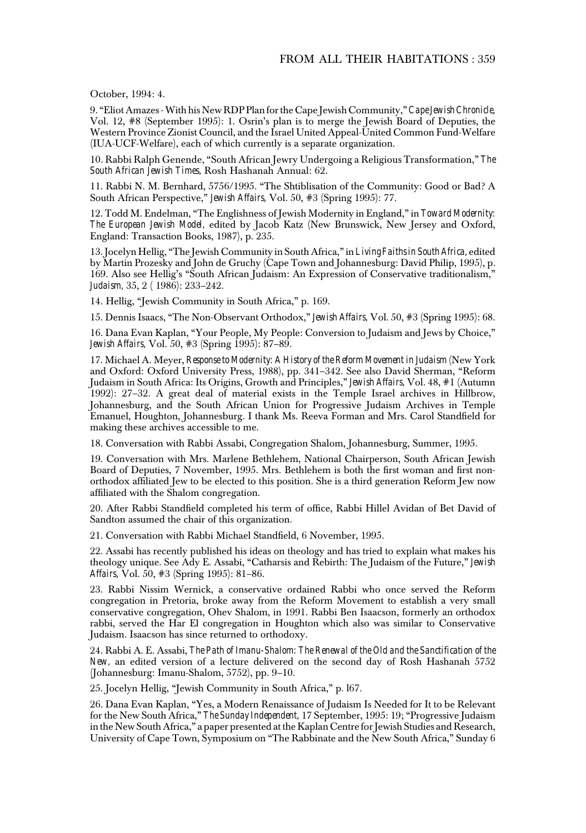October, 1994: 4.

 9. "Eliot Amazes - With his New RDP Plan for the Cape Jewish Community," *Cape Jewish Chronicle,* Vol. 12, #8 (September 1995): 1. Osrin's plan is to merge the Jewish Board of Deputies, the Western Province Zionist Council, and the Israel United Appeal-United Common Fund-Welfare (IUA-UCF-Welfare), each of which currently is a separate organization.

 10. Rabbi Ralph Genende, "South African Jewry Undergoing a Religious Transformation," *The South African Jewish Times,* Rosh Hashanah Annual: 62.

 11. Rabbi N. M. Bernhard, 5756/1995. "The Shtiblisation of the Community: Good or Bad? A South African Perspective," *Jewish Affairs,* Vol. 50, #3 (Spring 1995): 77.

 12. Todd M. Endelman, "The Englishness of Jewish Modernity in England," in *Toward Modernity: The European Jewish Model,* edited by Jacob Katz (New Brunswick, New Jersey and Oxford, England: Transaction Books, 1987), p. 235.

 13. Jocelyn Hellig, "The Jewish Community in South Africa," in *Living Faiths in South Africa,* edited by Martin Prozesky and John de Gruchy (Cape Town and Johannesburg: David Philip, 1995), p. 169. Also see Hellig's "South African Judaism: An Expression of Conservative traditionalism,"  *Judaism,* 35, 2 ( 1986): 233–242.

14. Hellig, "Jewish Community in South Africa," p. 169.

15. Dennis Isaacs, "The Non-Observant Orthodox," *Jewish Affairs,* Vol. 50, #3 (Spring 1995): 68.

 16. Dana Evan Kaplan, "Your People, My People: Conversion to Judaism and Jews by Choice,"  *Jewish Affairs,* Vol. 50, #3 (Spring 1995): 87–89.

 17. Michael A. Meyer, *Response to Modernity: A History of the Reform Movement in Judaism* (New York and Oxford: Oxford University Press, 1988), pp. 341–342. See also David Sherman, "Reform Judaism in South Africa: Its Origins, Growth and Principles," *Jewish Affairs,* Vol. 48, #1 (Autumn 1992): 27–32. A great deal of material exists in the Temple Israel archives in Hillbrow, Johannesburg, and the South African Union for Progressive Judaism Archives in Temple Emanuel, Houghton, Johannesburg. I thank Ms. Reeva Forman and Mrs. Carol Standfield for making these archives accessible to me.

18. Conversation with Rabbi Assabi, Congregation Shalom, Johannesburg, Summer, 1995.

 19. Conversation with Mrs. Marlene Bethlehem, National Chairperson, South African Jewish Board of Deputies, 7 November, 1995. Mrs. Bethlehem is both the first woman and first non orthodox affiliated Jew to be elected to this position. She is a third generation Reform Jew now affiliated with the Shalom congregation.

 20. After Rabbi Standfield completed his term of office, Rabbi Hillel Avidan of Bet David of Sandton assumed the chair of this organization.

21. Conversation with Rabbi Michael Standfield, 6 November, 1995.

 22. Assabi has recently published his ideas on theology and has tried to explain what makes his theology unique. See Ady E. Assabi, "Catharsis and Rebirth: The Judaism of the Future," *Jewish Affairs,* Vol. 50, #3 (Spring 1995): 81–86.

 23. Rabbi Nissim Wernick, a conservative ordained Rabbi who once served the Reform congregation in Pretoria, broke away from the Reform Movement to establish a very small conservative congregation, Ohev Shalom, in 1991. Rabbi Ben Isaacson, formerly an orthodox rabbi, served the Har El congregation in Houghton which also was similar to Conservative Judaism. Isaacson has since returned to orthodoxy.

 24. Rabbi A. E. Assabi, *The Path of Imanu-Shalom: The Renewal of the Old and the Sanctification of the New,* an edited version of a lecture delivered on the second day of Rosh Hashanah 5752 (Johannesburg: Imanu-Shalom, 5752), pp. 9–10.

25. Jocelyn Hellig, "Jewish Community in South Africa," p. l67.

 26. Dana Evan Kaplan, "Yes, a Modern Renaissance of Judaism Is Needed for It to be Relevant for the New South Africa," *The Sunday Independent,* 17 September, 1995: 19; "Progressive Judaism in the New South Africa," a paper presented at the Kaplan Centre for Jewish Studies and Research, University of Cape Town, Symposium on "The Rabbinate and the New South Africa," Sunday 6